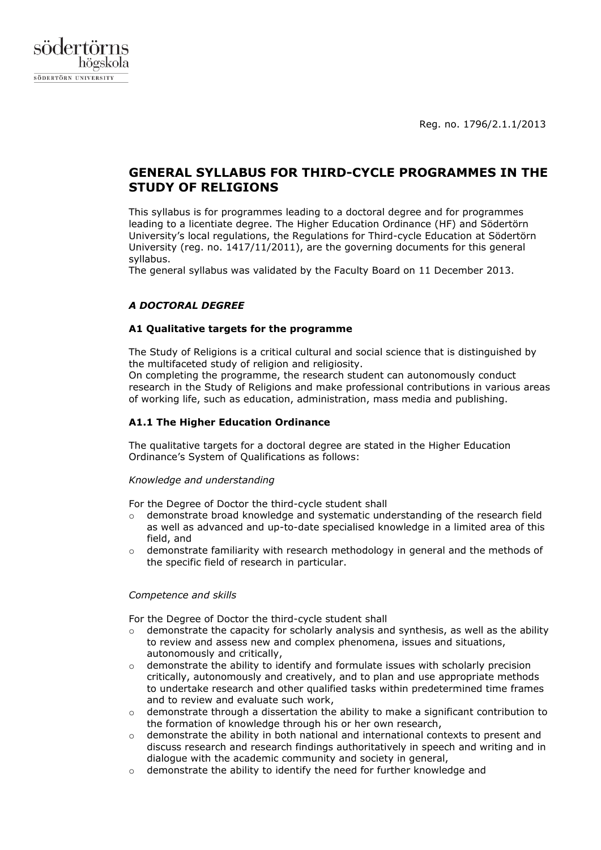Reg. no. 1796/2.1.1/2013



# **GENERAL SYLLABUS FOR THIRD-CYCLE PROGRAMMES IN THE STUDY OF RELIGIONS**

This syllabus is for programmes leading to a doctoral degree and for programmes leading to a licentiate degree. The Higher Education Ordinance (HF) and Södertörn University's local regulations, the Regulations for Third-cycle Education at Södertörn University (reg. no. 1417/11/2011), are the governing documents for this general syllabus.

The general syllabus was validated by the Faculty Board on 11 December 2013.

# *A DOCTORAL DEGREE*

### **A1 Qualitative targets for the programme**

The Study of Religions is a critical cultural and social science that is distinguished by the multifaceted study of religion and religiosity.

On completing the programme, the research student can autonomously conduct research in the Study of Religions and make professional contributions in various areas of working life, such as education, administration, mass media and publishing.

### **A1.1 The Higher Education Ordinance**

The qualitative targets for a doctoral degree are stated in the Higher Education Ordinance's System of Qualifications as follows:

### *Knowledge and understanding*

For the Degree of Doctor the third-cycle student shall

- $\circ$  demonstrate broad knowledge and systematic understanding of the research field as well as advanced and up-to-date specialised knowledge in a limited area of this field, and
- $\circ$  demonstrate familiarity with research methodology in general and the methods of the specific field of research in particular.

### *Competence and skills*

For the Degree of Doctor the third-cycle student shall

- $\circ$  demonstrate the capacity for scholarly analysis and synthesis, as well as the ability to review and assess new and complex phenomena, issues and situations, autonomously and critically,
- demonstrate the ability to identify and formulate issues with scholarly precision critically, autonomously and creatively, and to plan and use appropriate methods to undertake research and other qualified tasks within predetermined time frames and to review and evaluate such work,
- $\circ$  demonstrate through a dissertation the ability to make a significant contribution to the formation of knowledge through his or her own research,
- $\circ$  demonstrate the ability in both national and international contexts to present and discuss research and research findings authoritatively in speech and writing and in dialogue with the academic community and society in general,
- $\circ$  demonstrate the ability to identify the need for further knowledge and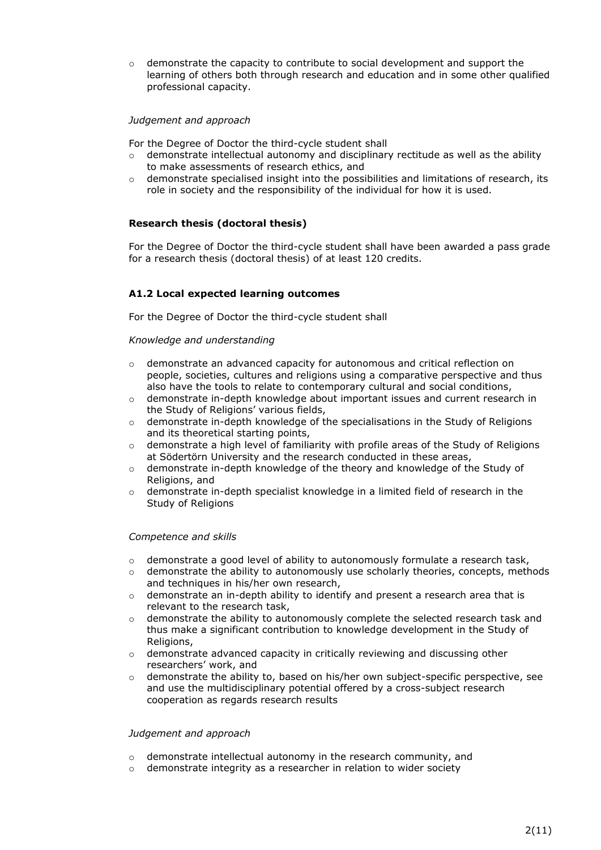$\circ$  demonstrate the capacity to contribute to social development and support the learning of others both through research and education and in some other qualified professional capacity.

### *Judgement and approach*

For the Degree of Doctor the third-cycle student shall

- $\circ$  demonstrate intellectual autonomy and disciplinary rectitude as well as the ability to make assessments of research ethics, and
- $\circ$  demonstrate specialised insight into the possibilities and limitations of research, its role in society and the responsibility of the individual for how it is used.

### **Research thesis (doctoral thesis)**

For the Degree of Doctor the third-cycle student shall have been awarded a pass grade for a research thesis (doctoral thesis) of at least 120 credits.

### **A1.2 Local expected learning outcomes**

For the Degree of Doctor the third-cycle student shall

#### *Knowledge and understanding*

- $\circ$  demonstrate an advanced capacity for autonomous and critical reflection on people, societies, cultures and religions using a comparative perspective and thus also have the tools to relate to contemporary cultural and social conditions,
- $\circ$  demonstrate in-depth knowledge about important issues and current research in the Study of Religions' various fields,
- $\circ$  demonstrate in-depth knowledge of the specialisations in the Study of Religions and its theoretical starting points,
- $\circ$  demonstrate a high level of familiarity with profile areas of the Study of Religions at Södertörn University and the research conducted in these areas,
- o demonstrate in-depth knowledge of the theory and knowledge of the Study of Religions, and
- $\circ$  demonstrate in-depth specialist knowledge in a limited field of research in the Study of Religions

#### *Competence and skills*

- $\circ$  demonstrate a good level of ability to autonomously formulate a research task,
- $\circ$  demonstrate the ability to autonomously use scholarly theories, concepts, methods and techniques in his/her own research,
- $\circ$  demonstrate an in-depth ability to identify and present a research area that is relevant to the research task,
- $\circ$  demonstrate the ability to autonomously complete the selected research task and thus make a significant contribution to knowledge development in the Study of Religions,
- $\circ$  demonstrate advanced capacity in critically reviewing and discussing other researchers' work, and
- $\circ$  demonstrate the ability to, based on his/her own subject-specific perspective, see and use the multidisciplinary potential offered by a cross-subject research cooperation as regards research results

#### *Judgement and approach*

- o demonstrate intellectual autonomy in the research community, and
- o demonstrate integrity as a researcher in relation to wider society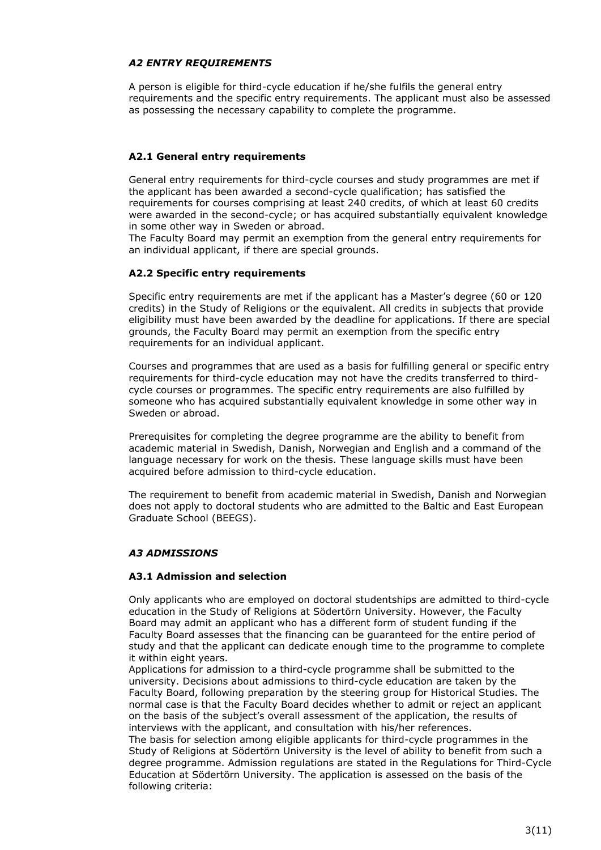### *A2 ENTRY REQUIREMENTS*

A person is eligible for third-cycle education if he/she fulfils the general entry requirements and the specific entry requirements. The applicant must also be assessed as possessing the necessary capability to complete the programme.

# **A2.1 General entry requirements**

General entry requirements for third-cycle courses and study programmes are met if the applicant has been awarded a second-cycle qualification; has satisfied the requirements for courses comprising at least 240 credits, of which at least 60 credits were awarded in the second-cycle; or has acquired substantially equivalent knowledge in some other way in Sweden or abroad.

The Faculty Board may permit an exemption from the general entry requirements for an individual applicant, if there are special grounds.

### **A2.2 Specific entry requirements**

Specific entry requirements are met if the applicant has a Master's degree (60 or 120 credits) in the Study of Religions or the equivalent. All credits in subjects that provide eligibility must have been awarded by the deadline for applications. If there are special grounds, the Faculty Board may permit an exemption from the specific entry requirements for an individual applicant.

Courses and programmes that are used as a basis for fulfilling general or specific entry requirements for third-cycle education may not have the credits transferred to thirdcycle courses or programmes. The specific entry requirements are also fulfilled by someone who has acquired substantially equivalent knowledge in some other way in Sweden or abroad.

Prerequisites for completing the degree programme are the ability to benefit from academic material in Swedish, Danish, Norwegian and English and a command of the language necessary for work on the thesis. These language skills must have been acquired before admission to third-cycle education.

The requirement to benefit from academic material in Swedish, Danish and Norwegian does not apply to doctoral students who are admitted to the Baltic and East European Graduate School (BEEGS).

### *A3 ADMISSIONS*

### **A3.1 Admission and selection**

Only applicants who are employed on doctoral studentships are admitted to third-cycle education in the Study of Religions at Södertörn University. However, the Faculty Board may admit an applicant who has a different form of student funding if the Faculty Board assesses that the financing can be guaranteed for the entire period of study and that the applicant can dedicate enough time to the programme to complete it within eight years.

Applications for admission to a third-cycle programme shall be submitted to the university. Decisions about admissions to third-cycle education are taken by the Faculty Board, following preparation by the steering group for Historical Studies. The normal case is that the Faculty Board decides whether to admit or reject an applicant on the basis of the subject's overall assessment of the application, the results of interviews with the applicant, and consultation with his/her references.

The basis for selection among eligible applicants for third-cycle programmes in the Study of Religions at Södertörn University is the level of ability to benefit from such a degree programme. Admission regulations are stated in the Regulations for Third-Cycle Education at Södertörn University. The application is assessed on the basis of the following criteria: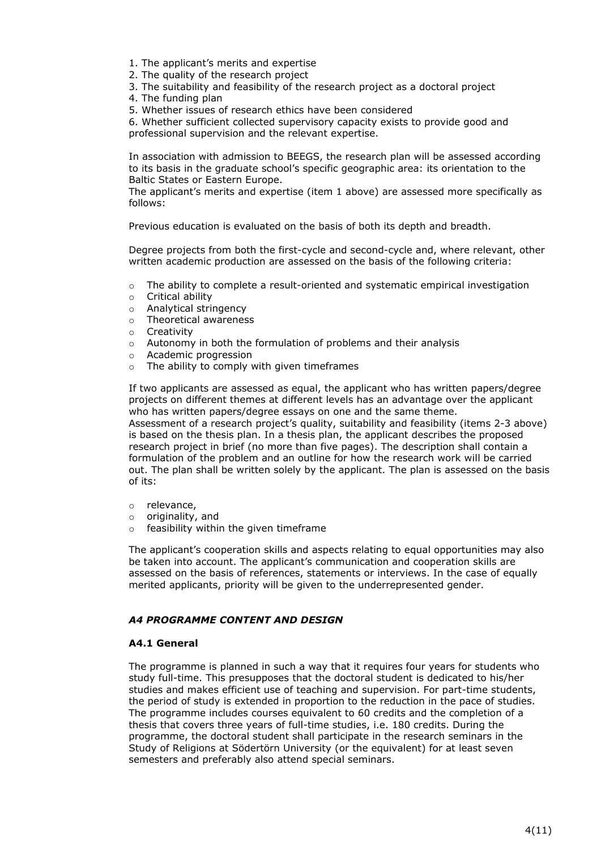- 1. The applicant's merits and expertise
- 2. The quality of the research project
- 3. The suitability and feasibility of the research project as a doctoral project
- 4. The funding plan

5. Whether issues of research ethics have been considered

6. Whether sufficient collected supervisory capacity exists to provide good and professional supervision and the relevant expertise.

In association with admission to BEEGS, the research plan will be assessed according to its basis in the graduate school's specific geographic area: its orientation to the Baltic States or Eastern Europe.

The applicant's merits and expertise (item 1 above) are assessed more specifically as follows:

Previous education is evaluated on the basis of both its depth and breadth.

Degree projects from both the first-cycle and second-cycle and, where relevant, other written academic production are assessed on the basis of the following criteria:

- $\circ$  The ability to complete a result-oriented and systematic empirical investigation
- o Critical ability
- o Analytical stringency
- o Theoretical awareness
- o Creativity
- o Autonomy in both the formulation of problems and their analysis
- o Academic progression
- o The ability to comply with given timeframes

If two applicants are assessed as equal, the applicant who has written papers/degree projects on different themes at different levels has an advantage over the applicant who has written papers/degree essays on one and the same theme.

Assessment of a research project's quality, suitability and feasibility (items 2-3 above) is based on the thesis plan. In a thesis plan, the applicant describes the proposed research project in brief (no more than five pages). The description shall contain a formulation of the problem and an outline for how the research work will be carried out. The plan shall be written solely by the applicant. The plan is assessed on the basis of its:

- o relevance,
- o originality, and
- $\circ$  feasibility within the given timeframe

The applicant's cooperation skills and aspects relating to equal opportunities may also be taken into account. The applicant's communication and cooperation skills are assessed on the basis of references, statements or interviews. In the case of equally merited applicants, priority will be given to the underrepresented gender.

#### *A4 PROGRAMME CONTENT AND DESIGN*

#### **A4.1 General**

The programme is planned in such a way that it requires four years for students who study full-time. This presupposes that the doctoral student is dedicated to his/her studies and makes efficient use of teaching and supervision. For part-time students, the period of study is extended in proportion to the reduction in the pace of studies. The programme includes courses equivalent to 60 credits and the completion of a thesis that covers three years of full-time studies, i.e. 180 credits. During the programme, the doctoral student shall participate in the research seminars in the Study of Religions at Södertörn University (or the equivalent) for at least seven semesters and preferably also attend special seminars.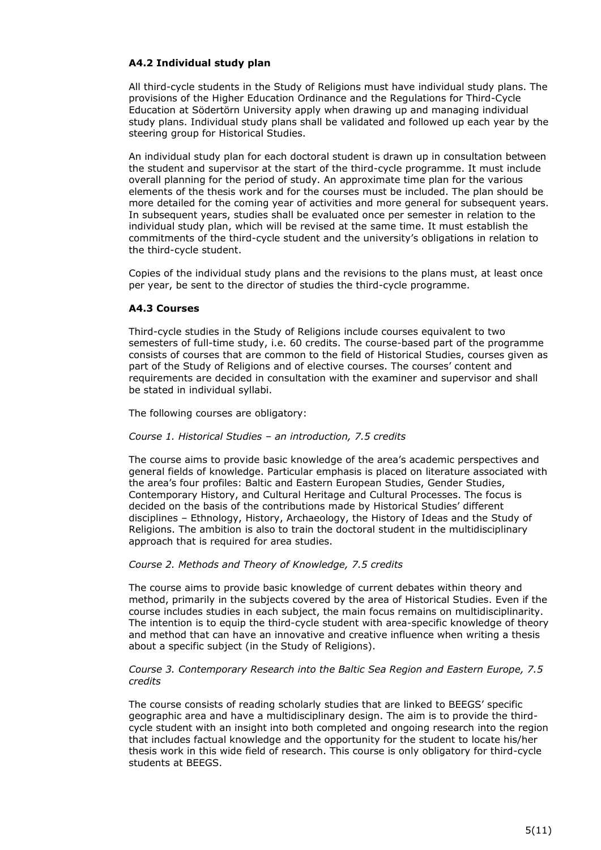### **A4.2 Individual study plan**

All third-cycle students in the Study of Religions must have individual study plans. The provisions of the Higher Education Ordinance and the Regulations for Third-Cycle Education at Södertörn University apply when drawing up and managing individual study plans. Individual study plans shall be validated and followed up each year by the steering group for Historical Studies.

An individual study plan for each doctoral student is drawn up in consultation between the student and supervisor at the start of the third-cycle programme. It must include overall planning for the period of study. An approximate time plan for the various elements of the thesis work and for the courses must be included. The plan should be more detailed for the coming year of activities and more general for subsequent years. In subsequent years, studies shall be evaluated once per semester in relation to the individual study plan, which will be revised at the same time. It must establish the commitments of the third-cycle student and the university's obligations in relation to the third-cycle student.

Copies of the individual study plans and the revisions to the plans must, at least once per year, be sent to the director of studies the third-cycle programme.

# **A4.3 Courses**

Third-cycle studies in the Study of Religions include courses equivalent to two semesters of full-time study, i.e. 60 credits. The course-based part of the programme consists of courses that are common to the field of Historical Studies, courses given as part of the Study of Religions and of elective courses. The courses' content and requirements are decided in consultation with the examiner and supervisor and shall be stated in individual syllabi.

The following courses are obligatory:

### *Course 1. Historical Studies – an introduction, 7.5 credits*

The course aims to provide basic knowledge of the area's academic perspectives and general fields of knowledge. Particular emphasis is placed on literature associated with the area's four profiles: Baltic and Eastern European Studies, Gender Studies, Contemporary History, and Cultural Heritage and Cultural Processes. The focus is decided on the basis of the contributions made by Historical Studies' different disciplines – Ethnology, History, Archaeology, the History of Ideas and the Study of Religions. The ambition is also to train the doctoral student in the multidisciplinary approach that is required for area studies.

### *Course 2. Methods and Theory of Knowledge, 7.5 credits*

The course aims to provide basic knowledge of current debates within theory and method, primarily in the subjects covered by the area of Historical Studies. Even if the course includes studies in each subject, the main focus remains on multidisciplinarity. The intention is to equip the third-cycle student with area-specific knowledge of theory and method that can have an innovative and creative influence when writing a thesis about a specific subject (in the Study of Religions).

### *Course 3. Contemporary Research into the Baltic Sea Region and Eastern Europe, 7.5 credits*

The course consists of reading scholarly studies that are linked to BEEGS' specific geographic area and have a multidisciplinary design. The aim is to provide the thirdcycle student with an insight into both completed and ongoing research into the region that includes factual knowledge and the opportunity for the student to locate his/her thesis work in this wide field of research. This course is only obligatory for third-cycle students at BEEGS.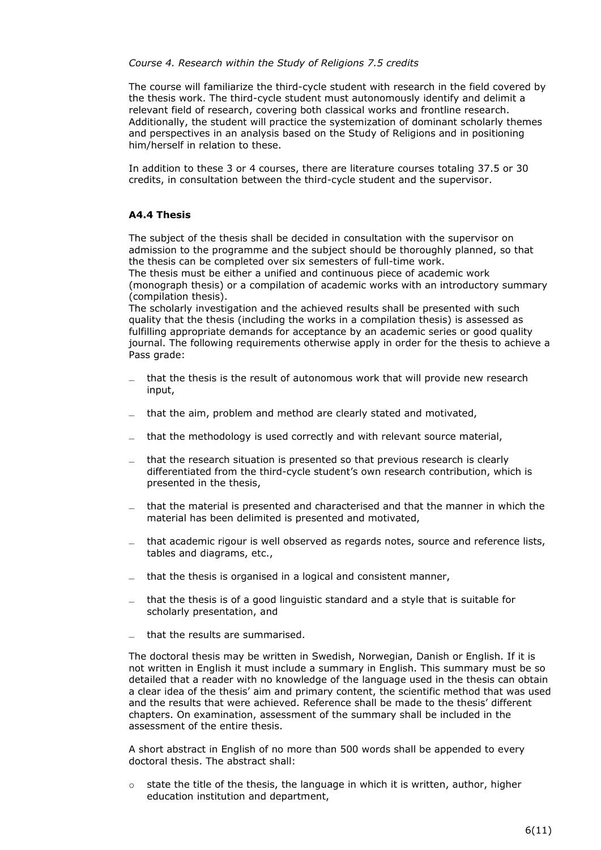### *Course 4. Research within the Study of Religions 7.5 credits*

The course will familiarize the third-cycle student with research in the field covered by the thesis work. The third-cycle student must autonomously identify and delimit a relevant field of research, covering both classical works and frontline research. Additionally, the student will practice the systemization of dominant scholarly themes and perspectives in an analysis based on the Study of Religions and in positioning him/herself in relation to these.

In addition to these 3 or 4 courses, there are literature courses totaling 37.5 or 30 credits, in consultation between the third-cycle student and the supervisor.

### **A4.4 Thesis**

The subject of the thesis shall be decided in consultation with the supervisor on admission to the programme and the subject should be thoroughly planned, so that the thesis can be completed over six semesters of full-time work.

The thesis must be either a unified and continuous piece of academic work (monograph thesis) or a compilation of academic works with an introductory summary (compilation thesis).

The scholarly investigation and the achieved results shall be presented with such quality that the thesis (including the works in a compilation thesis) is assessed as fulfilling appropriate demands for acceptance by an academic series or good quality journal. The following requirements otherwise apply in order for the thesis to achieve a Pass grade:

- ̶ that the thesis is the result of autonomous work that will provide new research input,
- $=$  that the aim, problem and method are clearly stated and motivated,
- $-$  that the methodology is used correctly and with relevant source material,
- ̶ that the research situation is presented so that previous research is clearly differentiated from the third-cycle student's own research contribution, which is presented in the thesis,
- ̶ that the material is presented and characterised and that the manner in which the material has been delimited is presented and motivated,
- ̶ that academic rigour is well observed as regards notes, source and reference lists, tables and diagrams, etc.,
- $-$  that the thesis is organised in a logical and consistent manner,
- ̶ that the thesis is of a good linguistic standard and a style that is suitable for scholarly presentation, and
- that the results are summarised.

The doctoral thesis may be written in Swedish, Norwegian, Danish or English. If it is not written in English it must include a summary in English. This summary must be so detailed that a reader with no knowledge of the language used in the thesis can obtain a clear idea of the thesis' aim and primary content, the scientific method that was used and the results that were achieved. Reference shall be made to the thesis' different chapters. On examination, assessment of the summary shall be included in the assessment of the entire thesis.

A short abstract in English of no more than 500 words shall be appended to every doctoral thesis. The abstract shall:

 $\circ$  state the title of the thesis, the language in which it is written, author, higher education institution and department,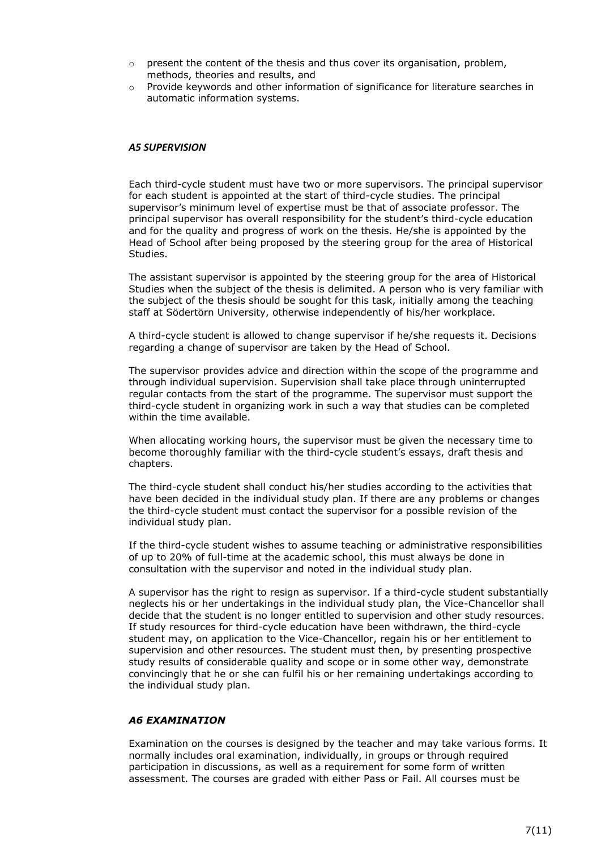- $\circ$  present the content of the thesis and thus cover its organisation, problem, methods, theories and results, and
- $\circ$  Provide keywords and other information of significance for literature searches in automatic information systems.

#### *A5 SUPERVISION*

Each third-cycle student must have two or more supervisors. The principal supervisor for each student is appointed at the start of third-cycle studies. The principal supervisor's minimum level of expertise must be that of associate professor. The principal supervisor has overall responsibility for the student's third-cycle education and for the quality and progress of work on the thesis. He/she is appointed by the Head of School after being proposed by the steering group for the area of Historical Studies.

The assistant supervisor is appointed by the steering group for the area of Historical Studies when the subject of the thesis is delimited. A person who is very familiar with the subject of the thesis should be sought for this task, initially among the teaching staff at Södertörn University, otherwise independently of his/her workplace.

A third-cycle student is allowed to change supervisor if he/she requests it. Decisions regarding a change of supervisor are taken by the Head of School.

The supervisor provides advice and direction within the scope of the programme and through individual supervision. Supervision shall take place through uninterrupted regular contacts from the start of the programme. The supervisor must support the third-cycle student in organizing work in such a way that studies can be completed within the time available.

When allocating working hours, the supervisor must be given the necessary time to become thoroughly familiar with the third-cycle student's essays, draft thesis and chapters.

The third-cycle student shall conduct his/her studies according to the activities that have been decided in the individual study plan. If there are any problems or changes the third-cycle student must contact the supervisor for a possible revision of the individual study plan.

If the third-cycle student wishes to assume teaching or administrative responsibilities of up to 20% of full-time at the academic school, this must always be done in consultation with the supervisor and noted in the individual study plan.

A supervisor has the right to resign as supervisor. If a third-cycle student substantially neglects his or her undertakings in the individual study plan, the Vice-Chancellor shall decide that the student is no longer entitled to supervision and other study resources. If study resources for third-cycle education have been withdrawn, the third-cycle student may, on application to the Vice-Chancellor, regain his or her entitlement to supervision and other resources. The student must then, by presenting prospective study results of considerable quality and scope or in some other way, demonstrate convincingly that he or she can fulfil his or her remaining undertakings according to the individual study plan.

#### *A6 EXAMINATION*

Examination on the courses is designed by the teacher and may take various forms. It normally includes oral examination, individually, in groups or through required participation in discussions, as well as a requirement for some form of written assessment. The courses are graded with either Pass or Fail. All courses must be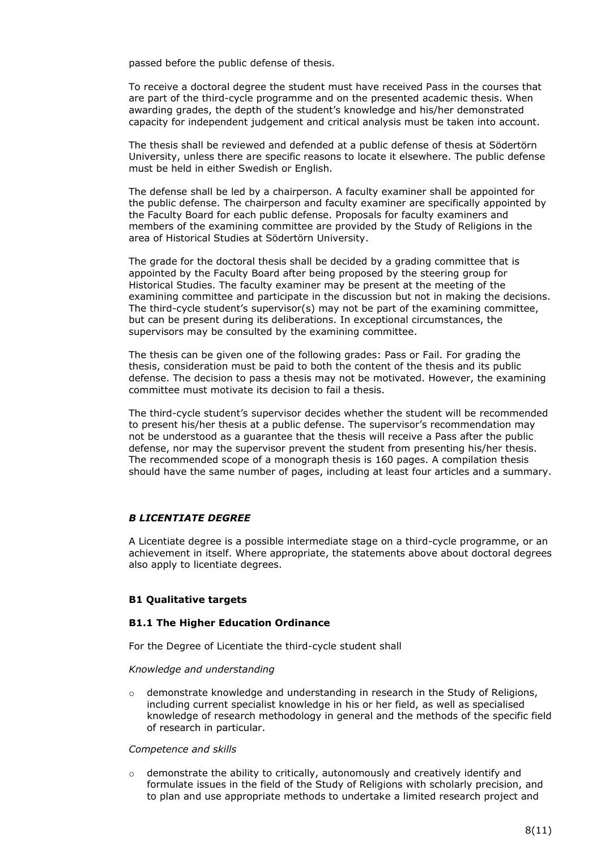passed before the public defense of thesis.

To receive a doctoral degree the student must have received Pass in the courses that are part of the third-cycle programme and on the presented academic thesis. When awarding grades, the depth of the student's knowledge and his/her demonstrated capacity for independent judgement and critical analysis must be taken into account.

The thesis shall be reviewed and defended at a public defense of thesis at Södertörn University, unless there are specific reasons to locate it elsewhere. The public defense must be held in either Swedish or English.

The defense shall be led by a chairperson. A faculty examiner shall be appointed for the public defense. The chairperson and faculty examiner are specifically appointed by the Faculty Board for each public defense. Proposals for faculty examiners and members of the examining committee are provided by the Study of Religions in the area of Historical Studies at Södertörn University.

The grade for the doctoral thesis shall be decided by a grading committee that is appointed by the Faculty Board after being proposed by the steering group for Historical Studies. The faculty examiner may be present at the meeting of the examining committee and participate in the discussion but not in making the decisions. The third-cycle student's supervisor(s) may not be part of the examining committee, but can be present during its deliberations. In exceptional circumstances, the supervisors may be consulted by the examining committee.

The thesis can be given one of the following grades: Pass or Fail. For grading the thesis, consideration must be paid to both the content of the thesis and its public defense. The decision to pass a thesis may not be motivated. However, the examining committee must motivate its decision to fail a thesis.

The third-cycle student's supervisor decides whether the student will be recommended to present his/her thesis at a public defense. The supervisor's recommendation may not be understood as a guarantee that the thesis will receive a Pass after the public defense, nor may the supervisor prevent the student from presenting his/her thesis. The recommended scope of a monograph thesis is 160 pages. A compilation thesis should have the same number of pages, including at least four articles and a summary.

#### *B LICENTIATE DEGREE*

A Licentiate degree is a possible intermediate stage on a third-cycle programme, or an achievement in itself. Where appropriate, the statements above about doctoral degrees also apply to licentiate degrees.

### **B1 Qualitative targets**

#### **B1.1 The Higher Education Ordinance**

For the Degree of Licentiate the third-cycle student shall

#### *Knowledge and understanding*

 $\circ$  demonstrate knowledge and understanding in research in the Study of Religions, including current specialist knowledge in his or her field, as well as specialised knowledge of research methodology in general and the methods of the specific field of research in particular.

#### *Competence and skills*

 $\circ$  demonstrate the ability to critically, autonomously and creatively identify and formulate issues in the field of the Study of Religions with scholarly precision, and to plan and use appropriate methods to undertake a limited research project and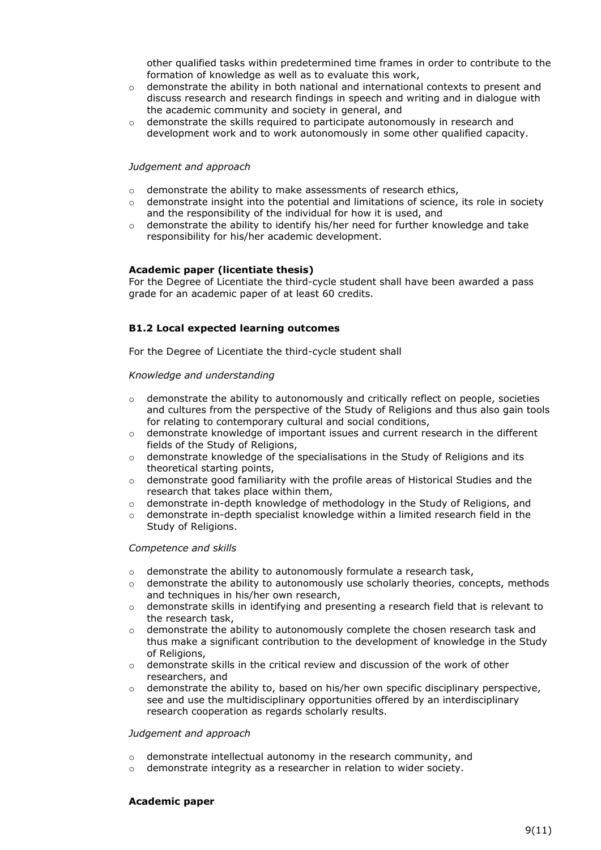other qualified tasks within predetermined time frames in order to contribute to the formation of knowledge as well as to evaluate this work,

- $\circ$  demonstrate the ability in both national and international contexts to present and discuss research and research findings in speech and writing and in dialogue with the academic community and society in general, and
- $\circ$  demonstrate the skills required to participate autonomously in research and development work and to work autonomously in some other qualified capacity.

#### *Judgement and approach*

- o demonstrate the ability to make assessments of research ethics,
- $\circ$  demonstrate insight into the potential and limitations of science, its role in society and the responsibility of the individual for how it is used, and
- $\circ$  demonstrate the ability to identify his/her need for further knowledge and take responsibility for his/her academic development.

#### **Academic paper (licentiate thesis)**

For the Degree of Licentiate the third-cycle student shall have been awarded a pass grade for an academic paper of at least 60 credits.

### **B1.2 Local expected learning outcomes**

For the Degree of Licentiate the third-cycle student shall

#### *Knowledge and understanding*

- $\circ$  demonstrate the ability to autonomously and critically reflect on people, societies and cultures from the perspective of the Study of Religions and thus also gain tools for relating to contemporary cultural and social conditions,
- $\circ$  demonstrate knowledge of important issues and current research in the different fields of the Study of Religions,
- $\circ$  demonstrate knowledge of the specialisations in the Study of Religions and its theoretical starting points,
- o demonstrate good familiarity with the profile areas of Historical Studies and the research that takes place within them,
- $\circ$  demonstrate in-depth knowledge of methodology in the Study of Religions, and
- demonstrate in-depth specialist knowledge within a limited research field in the Study of Religions.

#### *Competence and skills*

- o demonstrate the ability to autonomously formulate a research task,
- $\circ$  demonstrate the ability to autonomously use scholarly theories, concepts, methods and techniques in his/her own research,
- $\circ$  demonstrate skills in identifying and presenting a research field that is relevant to the research task,
- $\circ$  demonstrate the ability to autonomously complete the chosen research task and thus make a significant contribution to the development of knowledge in the Study of Religions,
- $\circ$  demonstrate skills in the critical review and discussion of the work of other researchers, and
- $\circ$  demonstrate the ability to, based on his/her own specific disciplinary perspective, see and use the multidisciplinary opportunities offered by an interdisciplinary research cooperation as regards scholarly results.

#### *Judgement and approach*

- o demonstrate intellectual autonomy in the research community, and
- o demonstrate integrity as a researcher in relation to wider society.

### **Academic paper**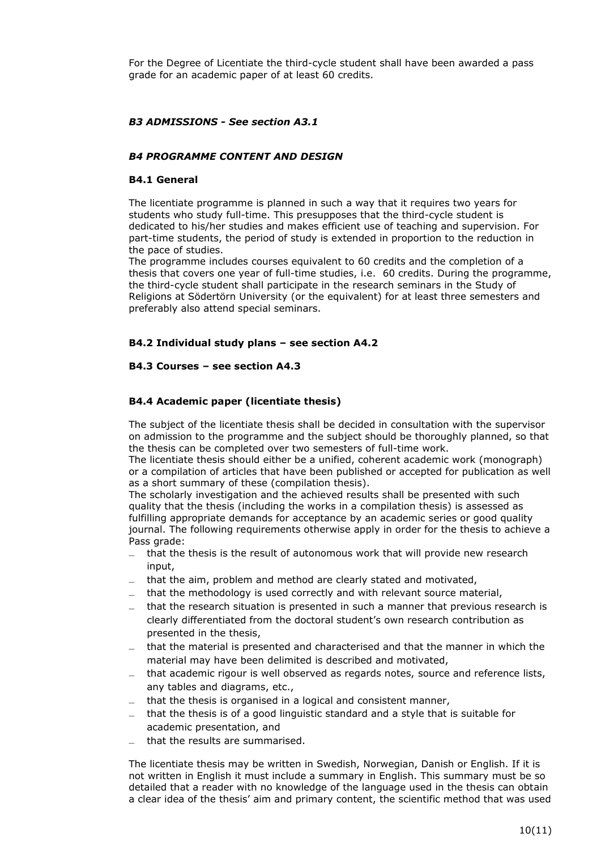For the Degree of Licentiate the third-cycle student shall have been awarded a pass grade for an academic paper of at least 60 credits.

# *B3 ADMISSIONS - See section A3.1*

### *B4 PROGRAMME CONTENT AND DESIGN*

#### **B4.1 General**

The licentiate programme is planned in such a way that it requires two years for students who study full-time. This presupposes that the third-cycle student is dedicated to his/her studies and makes efficient use of teaching and supervision. For part-time students, the period of study is extended in proportion to the reduction in the pace of studies.

The programme includes courses equivalent to 60 credits and the completion of a thesis that covers one year of full-time studies, i.e. 60 credits. During the programme, the third-cycle student shall participate in the research seminars in the Study of Religions at Södertörn University (or the equivalent) for at least three semesters and preferably also attend special seminars.

### **B4.2 Individual study plans – see section A4.2**

### **B4.3 Courses – see section A4.3**

### **B4.4 Academic paper (licentiate thesis)**

The subject of the licentiate thesis shall be decided in consultation with the supervisor on admission to the programme and the subject should be thoroughly planned, so that the thesis can be completed over two semesters of full-time work.

The licentiate thesis should either be a unified, coherent academic work (monograph) or a compilation of articles that have been published or accepted for publication as well as a short summary of these (compilation thesis).

The scholarly investigation and the achieved results shall be presented with such quality that the thesis (including the works in a compilation thesis) is assessed as fulfilling appropriate demands for acceptance by an academic series or good quality journal. The following requirements otherwise apply in order for the thesis to achieve a Pass grade:

- ̶ that the thesis is the result of autonomous work that will provide new research input,
- ̶ that the aim, problem and method are clearly stated and motivated,
- that the methodology is used correctly and with relevant source material,
- ̶ that the research situation is presented in such a manner that previous research is clearly differentiated from the doctoral student's own research contribution as presented in the thesis,
- $\overline{a}$  that the material is presented and characterised and that the manner in which the material may have been delimited is described and motivated,
- $\mu$  that academic rigour is well observed as regards notes, source and reference lists, any tables and diagrams, etc.,
- $-$  that the thesis is organised in a logical and consistent manner,
- $\overline{a}$  that the thesis is of a good linguistic standard and a style that is suitable for academic presentation, and
- ̶ that the results are summarised.

The licentiate thesis may be written in Swedish, Norwegian, Danish or English. If it is not written in English it must include a summary in English. This summary must be so detailed that a reader with no knowledge of the language used in the thesis can obtain a clear idea of the thesis' aim and primary content, the scientific method that was used